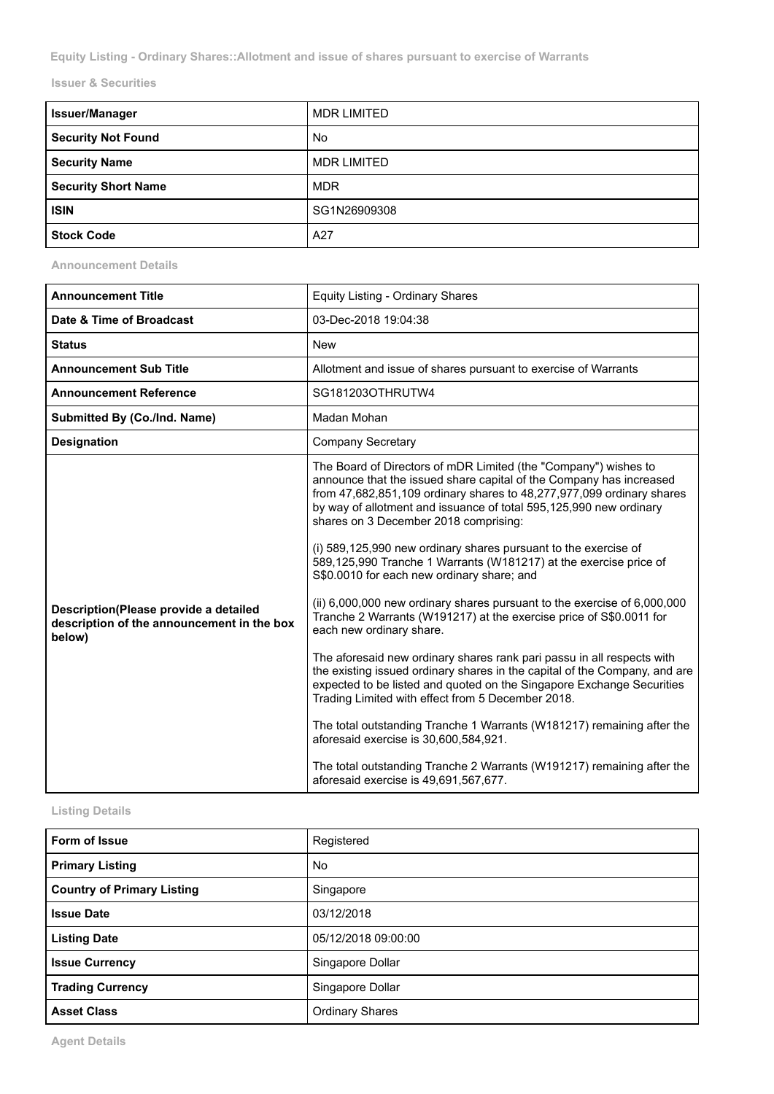**Equity Listing - Ordinary Shares::Allotment and issue of shares pursuant to exercise of Warrants**

**Issuer & Securities**

| <b>Issuer/Manager</b>      | <b>MDR LIMITED</b> |
|----------------------------|--------------------|
| Security Not Found         | No                 |
| <b>Security Name</b>       | <b>MDR LIMITED</b> |
| <b>Security Short Name</b> | <b>MDR</b>         |
| <b>ISIN</b>                | SG1N26909308       |
| <b>Stock Code</b>          | A27                |

**Announcement Details**

| <b>Announcement Title</b>                                                                     | Equity Listing - Ordinary Shares                                                                                                                                                                                                                                                                                                                                                                                                                                                                                                                                                                                                                                                                                                                                                                                                                                                                                                                                                                                                                                                                                                                                                                                                |
|-----------------------------------------------------------------------------------------------|---------------------------------------------------------------------------------------------------------------------------------------------------------------------------------------------------------------------------------------------------------------------------------------------------------------------------------------------------------------------------------------------------------------------------------------------------------------------------------------------------------------------------------------------------------------------------------------------------------------------------------------------------------------------------------------------------------------------------------------------------------------------------------------------------------------------------------------------------------------------------------------------------------------------------------------------------------------------------------------------------------------------------------------------------------------------------------------------------------------------------------------------------------------------------------------------------------------------------------|
| Date & Time of Broadcast                                                                      | 03-Dec-2018 19:04:38                                                                                                                                                                                                                                                                                                                                                                                                                                                                                                                                                                                                                                                                                                                                                                                                                                                                                                                                                                                                                                                                                                                                                                                                            |
| <b>Status</b>                                                                                 | <b>New</b>                                                                                                                                                                                                                                                                                                                                                                                                                                                                                                                                                                                                                                                                                                                                                                                                                                                                                                                                                                                                                                                                                                                                                                                                                      |
| <b>Announcement Sub Title</b>                                                                 | Allotment and issue of shares pursuant to exercise of Warrants                                                                                                                                                                                                                                                                                                                                                                                                                                                                                                                                                                                                                                                                                                                                                                                                                                                                                                                                                                                                                                                                                                                                                                  |
| <b>Announcement Reference</b>                                                                 | SG181203OTHRUTW4                                                                                                                                                                                                                                                                                                                                                                                                                                                                                                                                                                                                                                                                                                                                                                                                                                                                                                                                                                                                                                                                                                                                                                                                                |
| Submitted By (Co./Ind. Name)                                                                  | Madan Mohan                                                                                                                                                                                                                                                                                                                                                                                                                                                                                                                                                                                                                                                                                                                                                                                                                                                                                                                                                                                                                                                                                                                                                                                                                     |
| <b>Designation</b>                                                                            | <b>Company Secretary</b>                                                                                                                                                                                                                                                                                                                                                                                                                                                                                                                                                                                                                                                                                                                                                                                                                                                                                                                                                                                                                                                                                                                                                                                                        |
| Description(Please provide a detailed<br>description of the announcement in the box<br>below) | The Board of Directors of mDR Limited (the "Company") wishes to<br>announce that the issued share capital of the Company has increased<br>from 47,682,851,109 ordinary shares to 48,277,977,099 ordinary shares<br>by way of allotment and issuance of total 595,125,990 new ordinary<br>shares on 3 December 2018 comprising:<br>(i) 589,125,990 new ordinary shares pursuant to the exercise of<br>589,125,990 Tranche 1 Warrants (W181217) at the exercise price of<br>S\$0.0010 for each new ordinary share; and<br>(ii) 6,000,000 new ordinary shares pursuant to the exercise of 6,000,000<br>Tranche 2 Warrants (W191217) at the exercise price of S\$0.0011 for<br>each new ordinary share.<br>The aforesaid new ordinary shares rank pari passu in all respects with<br>the existing issued ordinary shares in the capital of the Company, and are<br>expected to be listed and quoted on the Singapore Exchange Securities<br>Trading Limited with effect from 5 December 2018.<br>The total outstanding Tranche 1 Warrants (W181217) remaining after the<br>aforesaid exercise is 30,600,584,921.<br>The total outstanding Tranche 2 Warrants (W191217) remaining after the<br>aforesaid exercise is 49,691,567,677. |

## **Listing Details**

| Form of Issue                     | Registered             |
|-----------------------------------|------------------------|
| <b>Primary Listing</b>            | No                     |
| <b>Country of Primary Listing</b> | Singapore              |
| <b>Issue Date</b>                 | 03/12/2018             |
| <b>Listing Date</b>               | 05/12/2018 09:00:00    |
| <b>Issue Currency</b>             | Singapore Dollar       |
| <b>Trading Currency</b>           | Singapore Dollar       |
| <b>Asset Class</b>                | <b>Ordinary Shares</b> |